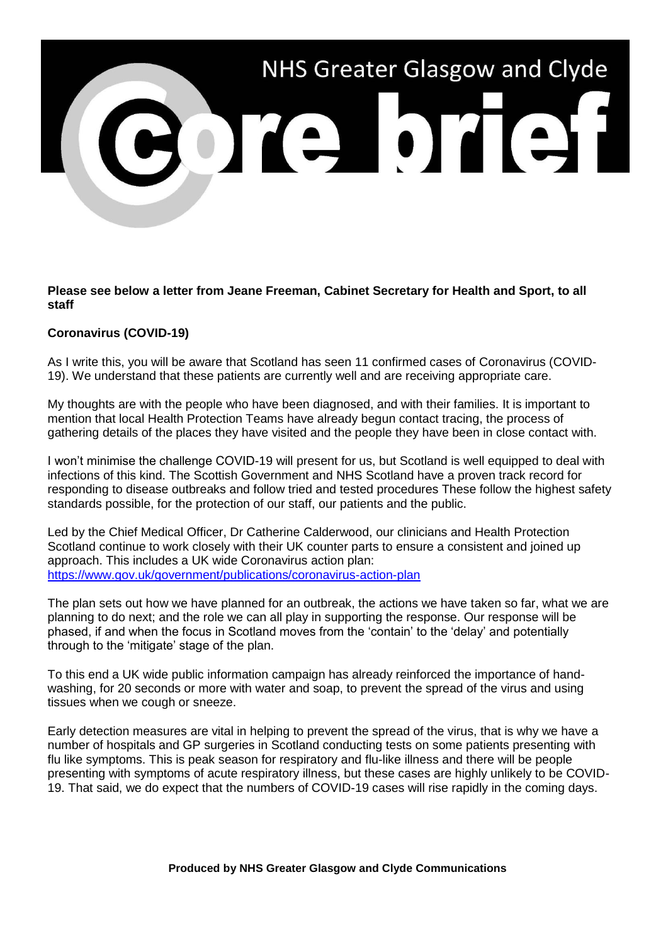## NHS Greater Glasgow and Clyde

## **Please see below a letter from Jeane Freeman, Cabinet Secretary for Health and Sport, to all staff**

## **Coronavirus (COVID-19)**

As I write this, you will be aware that Scotland has seen 11 confirmed cases of Coronavirus (COVID-19). We understand that these patients are currently well and are receiving appropriate care.

My thoughts are with the people who have been diagnosed, and with their families. It is important to mention that local Health Protection Teams have already begun contact tracing, the process of gathering details of the places they have visited and the people they have been in close contact with.

I won't minimise the challenge COVID-19 will present for us, but Scotland is well equipped to deal with infections of this kind. The Scottish Government and NHS Scotland have a proven track record for responding to disease outbreaks and follow tried and tested procedures These follow the highest safety standards possible, for the protection of our staff, our patients and the public.

Led by the Chief Medical Officer, Dr Catherine Calderwood, our clinicians and Health Protection Scotland continue to work closely with their UK counter parts to ensure a consistent and joined up approach. This includes a UK wide Coronavirus action plan: <https://www.gov.uk/government/publications/coronavirus-action-plan>

The plan sets out how we have planned for an outbreak, the actions we have taken so far, what we are planning to do next; and the role we can all play in supporting the response. Our response will be phased, if and when the focus in Scotland moves from the 'contain' to the 'delay' and potentially through to the 'mitigate' stage of the plan.

To this end a UK wide public information campaign has already reinforced the importance of handwashing, for 20 seconds or more with water and soap, to prevent the spread of the virus and using tissues when we cough or sneeze.

Early detection measures are vital in helping to prevent the spread of the virus, that is why we have a number of hospitals and GP surgeries in Scotland conducting tests on some patients presenting with flu like symptoms. This is peak season for respiratory and flu-like illness and there will be people presenting with symptoms of acute respiratory illness, but these cases are highly unlikely to be COVID-19. That said, we do expect that the numbers of COVID-19 cases will rise rapidly in the coming days.